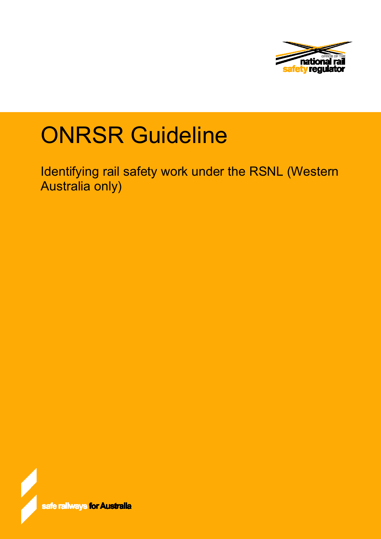

# **ONRSR Guideline**

Identifying rail safety work under the RSNL (Western Australia only)

safe railways <mark>for Australia</mark>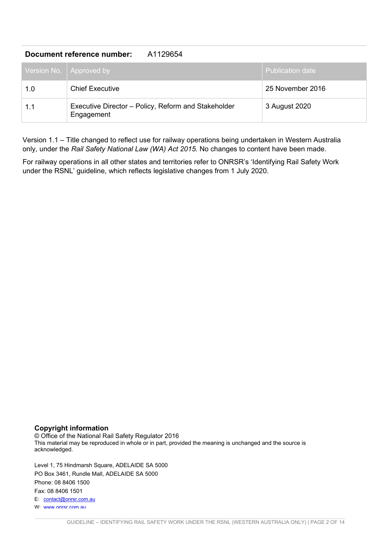#### **Document reference number:** A1129654

|     | Version No.   Approved by                                         | <b>Publication date</b> |
|-----|-------------------------------------------------------------------|-------------------------|
| 1.0 | <b>Chief Executive</b>                                            | 25 November 2016        |
| 1.1 | Executive Director - Policy, Reform and Stakeholder<br>Engagement | 3 August 2020           |

Version 1.1 – Title changed to reflect use for railway operations being undertaken in Western Australia only, under the *Rail Safety National Law (WA) Act 2015.* No changes to content have been made.

For railway operations in all other states and territories refer to ONRSR's 'Identifying Rail Safety Work under the RSNL' guideline, which reflects legislative changes from 1 July 2020.

#### **Copyright information**

© Office of the National Rail Safety Regulator 2016 This material may be reproduced in whole or in part, provided the meaning is unchanged and the source is acknowledged.

Level 1, 75 Hindmarsh Square, ADELAIDE SA 5000 PO Box 3461, Rundle Mall, ADELAIDE SA 5000 Phone: 08 8406 1500 Fax: 08 8406 1501 E: [contact@onrsr.com.au](mailto:contact@onrsr.com.au)  W: [www.onrsr.com.au](http://www.onrsr.com.au/)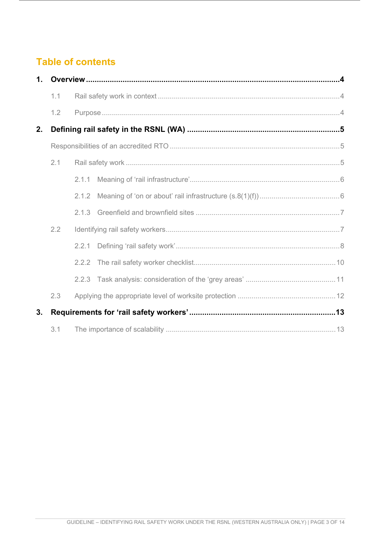# **Table of contents**

|    | 1 <sub>1</sub> |       |  |  |
|----|----------------|-------|--|--|
|    | 1.1            |       |  |  |
|    | 1.2            |       |  |  |
| 2. |                |       |  |  |
|    |                |       |  |  |
|    | 2.1            |       |  |  |
|    |                | 2.1.1 |  |  |
|    |                | 2.1.2 |  |  |
|    |                | 2.1.3 |  |  |
|    | 2.2            |       |  |  |
|    |                | 2.2.1 |  |  |
|    |                |       |  |  |
|    |                | 2.2.3 |  |  |
|    | 2.3            |       |  |  |
| 3. |                |       |  |  |
|    | 3.1            |       |  |  |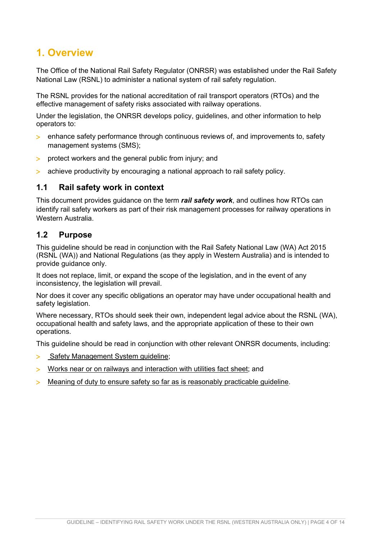# <span id="page-3-0"></span>**1. Overview**

The Office of the National Rail Safety Regulator (ONRSR) was established under the Rail Safety National Law (RSNL) to administer a national system of rail safety regulation.

The RSNL provides for the national accreditation of rail transport operators (RTOs) and the effective management of safety risks associated with railway operations.

Under the legislation, the ONRSR develops policy, guidelines, and other information to help operators to:

- > enhance safety performance through continuous reviews of, and improvements to, safety management systems (SMS);
- > protect workers and the general public from injury; and
- > achieve productivity by encouraging a national approach to rail safety policy.

#### <span id="page-3-1"></span>**1.1 Rail safety work in context**

This document provides guidance on the term *rail safety work*, and outlines how RTOs can identify rail safety workers as part of their risk management processes for railway operations in Western Australia.

#### <span id="page-3-2"></span>**1.2 Purpose**

This guideline should be read in conjunction with the Rail Safety National Law (WA) Act 2015 (RSNL (WA)) and National Regulations (as they apply in Western Australia) and is intended to provide guidance only.

It does not replace, limit, or expand the scope of the legislation, and in the event of any inconsistency, the legislation will prevail.

Nor does it cover any specific obligations an operator may have under occupational health and safety legislation.

Where necessary, RTOs should seek their own, independent legal advice about the RSNL (WA), occupational health and safety laws, and the appropriate application of these to their own operations.

This guideline should be read in conjunction with other relevant ONRSR documents, including:

- > [Safety Management System guideline;](http://onrsr.com.au/__data/assets/pdf_file/0015/1923/Preparation_of_a_Rail_SMS.PDF)
- > [Works near or on railways and interaction with utilities fact sheet;](http://onrsr.com.au/__data/assets/pdf_file/0019/1918/Works_near_or_on_railways_-and-_interaction_with_utilities.PDF) and
- > [Meaning of duty to ensure safety so far as is reasonably practicable guideline.](http://onrsr.com.au/__data/assets/pdf_file/0009/2412/ONRSR-Guidelines-SFAIRP.pdf)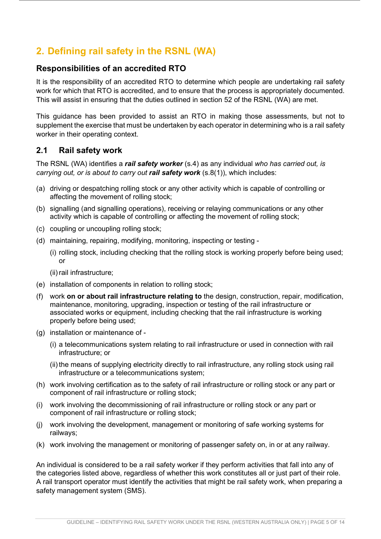# <span id="page-4-0"></span>**2. Defining rail safety in the RSNL (WA)**

## <span id="page-4-1"></span>**Responsibilities of an accredited RTO**

It is the responsibility of an accredited RTO to determine which people are undertaking rail safety work for which that RTO is accredited, and to ensure that the process is appropriately documented. This will assist in ensuring that the duties outlined in section 52 of the RSNL (WA) are met.

This guidance has been provided to assist an RTO in making those assessments, but not to supplement the exercise that must be undertaken by each operator in determining who is a rail safety worker in their operating context.

## <span id="page-4-2"></span>**2.1 Rail safety work**

The RSNL (WA) identifies a *rail safety worker* (s.4) as any individual *who has carried out, is carrying out, or is about to carry out rail safety work (s.8(1)), which includes:* 

- (a) driving or despatching rolling stock or any other activity which is capable of controlling or affecting the movement of rolling stock;
- (b) signalling (and signalling operations), receiving or relaying communications or any other activity which is capable of controlling or affecting the movement of rolling stock;
- (c) coupling or uncoupling rolling stock;
- (d) maintaining, repairing, modifying, monitoring, inspecting or testing
	- (i) rolling stock, including checking that the rolling stock is working properly before being used; or
	- (ii) rail infrastructure;
- (e) installation of components in relation to rolling stock;
- (f) work **on or about rail infrastructure relating to** the design, construction, repair, modification, maintenance, monitoring, upgrading, inspection or testing of the rail infrastructure or associated works or equipment, including checking that the rail infrastructure is working properly before being used;
- (g) installation or maintenance of
	- (i) a telecommunications system relating to rail infrastructure or used in connection with rail infrastructure; or
	- (ii) the means of supplying electricity directly to rail infrastructure, any rolling stock using rail infrastructure or a telecommunications system;
- (h) work involving certification as to the safety of rail infrastructure or rolling stock or any part or component of rail infrastructure or rolling stock;
- (i) work involving the decommissioning of rail infrastructure or rolling stock or any part or component of rail infrastructure or rolling stock;
- (j) work involving the development, management or monitoring of safe working systems for railways;
- (k) work involving the management or monitoring of passenger safety on, in or at any railway.

An individual is considered to be a rail safety worker if they perform activities that fall into any of the categories listed above, regardless of whether this work constitutes all or just part of their role. A rail transport operator must identify the activities that might be rail safety work, when preparing a safety management system (SMS).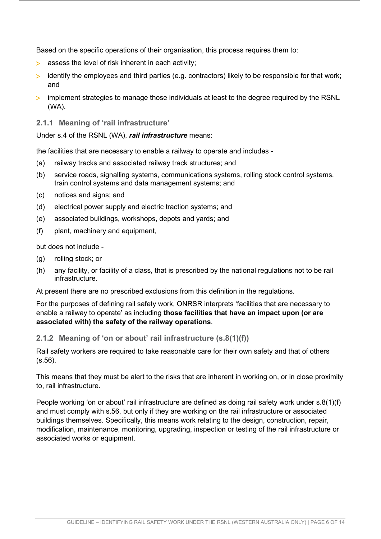Based on the specific operations of their organisation, this process requires them to:

- > assess the level of risk inherent in each activity;
- > identify the employees and third parties (e.g. contractors) likely to be responsible for that work; and
- > implement strategies to manage those individuals at least to the degree required by the RSNL (WA).

#### <span id="page-5-0"></span>**2.1.1 Meaning of 'rail infrastructure'**

Under s.4 of the RSNL (WA), *rail infrastructure* means:

the facilities that are necessary to enable a railway to operate and includes -

- (a) railway tracks and associated railway track structures; and
- (b) service roads, signalling systems, communications systems, rolling stock control systems, train control systems and data management systems; and
- (c) notices and signs; and
- (d) electrical power supply and electric traction systems; and
- (e) associated buildings, workshops, depots and yards; and
- (f) plant, machinery and equipment,

but does not include -

- (g) rolling stock; or
- (h) any facility, or facility of a class, that is prescribed by the national regulations not to be rail infrastructure.

At present there are no prescribed exclusions from this definition in the regulations.

For the purposes of defining rail safety work, ONRSR interprets 'facilities that are necessary to enable a railway to operate' as including **those facilities that have an impact upon (or are associated with) the safety of the railway operations**.

#### <span id="page-5-1"></span>**2.1.2 Meaning of 'on or about' rail infrastructure (s.8(1)(f))**

Rail safety workers are required to take reasonable care for their own safety and that of others (s.56).

This means that they must be alert to the risks that are inherent in working on, or in close proximity to, rail infrastructure.

People working 'on or about' rail infrastructure are defined as doing rail safety work under s.8(1)(f) and must comply with s.56, but only if they are working on the rail infrastructure or associated buildings themselves. Specifically, this means work relating to the design, construction, repair, modification, maintenance, monitoring, upgrading, inspection or testing of the rail infrastructure or associated works or equipment.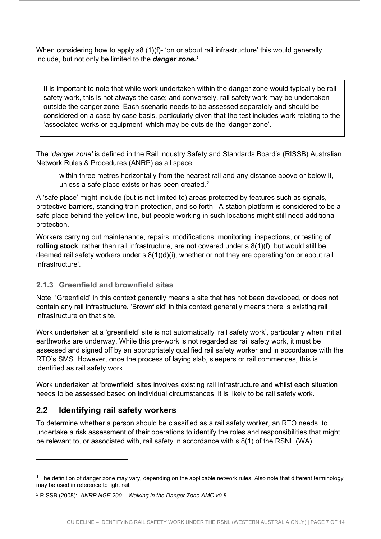When considering how to apply s8 (1)(f)- 'on or about rail infrastructure' this would generally include, but not only be limited to the *danger zone.[1](#page-6-2)*

It is important to note that while work undertaken within the danger zone would typically be rail safety work, this is not always the case; and conversely, rail safety work may be undertaken outside the danger zone. Each scenario needs to be assessed separately and should be considered on a case by case basis, particularly given that the test includes work relating to the 'associated works or equipment' which may be outside the 'danger zone'.

The '*danger zone'* is defined in the Rail Industry Safety and Standards Board's (RISSB) Australian Network Rules & Procedures (ANRP) as all space:

within three metres horizontally from the nearest rail and any distance above or below it, unless a safe place exists or has been created.**[2](#page-6-3)**

A 'safe place' might include (but is not limited to) areas protected by features such as signals, protective barriers, standing train protection, and so forth. A station platform is considered to be a safe place behind the yellow line, but people working in such locations might still need additional protection.

Workers carrying out maintenance, repairs, modifications, monitoring, inspections, or testing of **rolling stock**, rather than rail infrastructure, are not covered under s.8(1)(f), but would still be deemed rail safety workers under s.8(1)(d)(i), whether or not they are operating 'on or about rail infrastructure'.

## <span id="page-6-0"></span>**2.1.3 Greenfield and brownfield sites**

Note: 'Greenfield' in this context generally means a site that has not been developed, or does not contain any rail infrastructure. 'Brownfield' in this context generally means there is existing rail infrastructure on that site.

Work undertaken at a 'greenfield' site is not automatically 'rail safety work', particularly when initial earthworks are underway. While this pre-work is not regarded as rail safety work, it must be assessed and signed off by an appropriately qualified rail safety worker and in accordance with the RTO's SMS. However, once the process of laying slab, sleepers or rail commences, this is identified as rail safety work.

Work undertaken at 'brownfield' sites involves existing rail infrastructure and whilst each situation needs to be assessed based on individual circumstances, it is likely to be rail safety work.

# <span id="page-6-1"></span>**2.2 Identifying rail safety workers**

To determine whether a person should be classified as a rail safety worker, an RTO needs to undertake a risk assessment of their operations to identify the roles and responsibilities that might be relevant to, or associated with, rail safety in accordance with s.8(1) of the RSNL (WA).

<span id="page-6-2"></span><sup>&</sup>lt;sup>1</sup> The definition of danger zone may vary, depending on the applicable network rules. Also note that different terminology may be used in reference to light rail.

<span id="page-6-3"></span><sup>2</sup> RISSB (2008): *ANRP NGE 200 – Walking in the Danger Zone AMC v0.8*.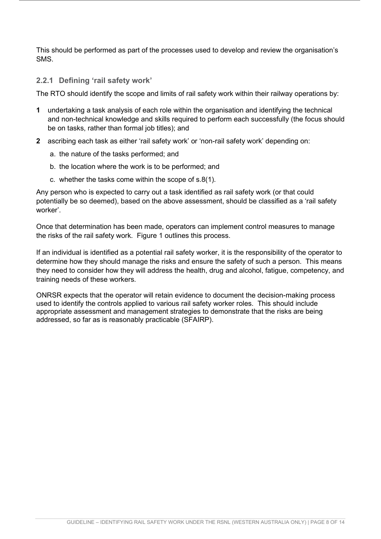This should be performed as part of the processes used to develop and review the organisation's SMS.

#### <span id="page-7-0"></span>**2.2.1 Defining 'rail safety work'**

The RTO should identify the scope and limits of rail safety work within their railway operations by:

- **1** undertaking a task analysis of each role within the organisation and identifying the technical and non-technical knowledge and skills required to perform each successfully (the focus should be on tasks, rather than formal job titles); and
- **2** ascribing each task as either 'rail safety work' or 'non-rail safety work' depending on:
	- a. the nature of the tasks performed; and
	- b. the location where the work is to be performed; and
	- c. whether the tasks come within the scope of s.8(1).

Any person who is expected to carry out a task identified as rail safety work (or that could potentially be so deemed), based on the above assessment, should be classified as a 'rail safety worker'.

Once that determination has been made, operators can implement control measures to manage the risks of the rail safety work. Figure 1 outlines this process.

If an individual is identified as a potential rail safety worker, it is the responsibility of the operator to determine how they should manage the risks and ensure the safety of such a person. This means they need to consider how they will address the health, drug and alcohol, fatigue, competency, and training needs of these workers.

ONRSR expects that the operator will retain evidence to document the decision-making process used to identify the controls applied to various rail safety worker roles. This should include appropriate assessment and management strategies to demonstrate that the risks are being addressed, so far as is reasonably practicable (SFAIRP).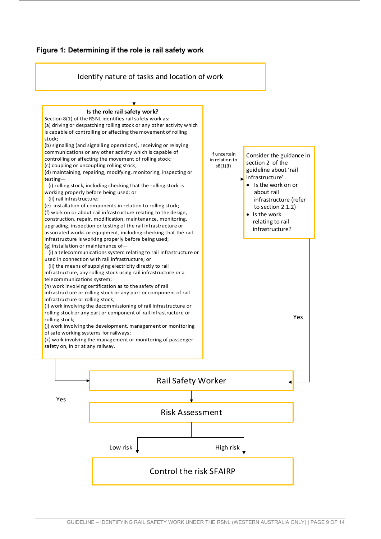

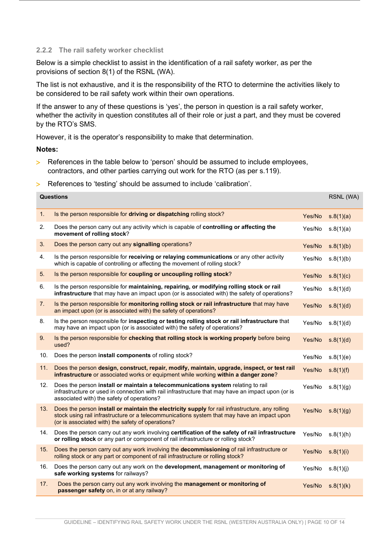#### <span id="page-9-0"></span>**2.2.2 The rail safety worker checklist**

Below is a simple checklist to assist in the identification of a rail safety worker, as per the provisions of section 8(1) of the RSNL (WA).

The list is not exhaustive, and it is the responsibility of the RTO to determine the activities likely to be considered to be rail safety work within their own operations.

If the answer to any of these questions is 'yes', the person in question is a rail safety worker, whether the activity in question constitutes all of their role or just a part, and they must be covered by the RTO's SMS.

However, it is the operator's responsibility to make that determination.

**Notes:** 

- > References in the table below to 'person' should be assumed to include employees, contractors, and other parties carrying out work for the RTO (as per s.119).
- > References to 'testing' should be assumed to include 'calibration'.

| <b>Questions</b><br>RSNL (WA) |                                                                                                                                                                                                                                                     |        |           |
|-------------------------------|-----------------------------------------------------------------------------------------------------------------------------------------------------------------------------------------------------------------------------------------------------|--------|-----------|
| 1.                            | Is the person responsible for driving or dispatching rolling stock?                                                                                                                                                                                 | Yes/No | s.8(1)(a) |
| 2.                            | Does the person carry out any activity which is capable of controlling or affecting the<br>movement of rolling stock?                                                                                                                               | Yes/No | s.8(1)(a) |
| 3.                            | Does the person carry out any signalling operations?                                                                                                                                                                                                | Yes/No | s.8(1)(b) |
| 4.                            | Is the person responsible for receiving or relaying communications or any other activity<br>which is capable of controlling or affecting the movement of rolling stock?                                                                             | Yes/No | s.8(1)(b) |
| 5.                            | Is the person responsible for coupling or uncoupling rolling stock?                                                                                                                                                                                 | Yes/No | s.8(1)(c) |
| 6.                            | Is the person responsible for maintaining, repairing, or modifying rolling stock or rail<br>infrastructure that may have an impact upon (or is associated with) the safety of operations?                                                           | Yes/No | s.8(1)(d) |
| 7.                            | Is the person responsible for monitoring rolling stock or rail infrastructure that may have<br>an impact upon (or is associated with) the safety of operations?                                                                                     | Yes/No | s.8(1)(d) |
| 8.                            | Is the person responsible for inspecting or testing rolling stock or rail infrastructure that<br>may have an impact upon (or is associated with) the safety of operations?                                                                          | Yes/No | s.8(1)(d) |
| 9.                            | Is the person responsible for checking that rolling stock is working properly before being<br>used?                                                                                                                                                 | Yes/No | s.8(1)(d) |
| 10.                           | Does the person install components of rolling stock?                                                                                                                                                                                                | Yes/No | s.8(1)(e) |
| 11.                           | Does the person design, construct, repair, modify, maintain, upgrade, inspect, or test rail<br>infrastructure or associated works or equipment while working within a danger zone?                                                                  | Yes/No | s.8(1)(f) |
| 12.                           | Does the person install or maintain a telecommunications system relating to rail<br>infrastructure or used in connection with rail infrastructure that may have an impact upon (or is<br>associated with) the safety of operations?                 | Yes/No | s.8(1)(g) |
| 13.                           | Does the person install or maintain the electricity supply for rail infrastructure, any rolling<br>stock using rail infrastructure or a telecommunications system that may have an impact upon<br>(or is associated with) the safety of operations? | Yes/No | s.8(1)(g) |
| 14.                           | Does the person carry out any work involving certification of the safety of rail infrastructure<br>or rolling stock or any part or component of rail infrastructure or rolling stock?                                                               | Yes/No | s.8(1)(h) |
| 15.                           | Does the person carry out any work involving the decommissioning of rail infrastructure or<br>rolling stock or any part or component of rail infrastructure or rolling stock?                                                                       | Yes/No | s.8(1)(i) |
| 16.                           | Does the person carry out any work on the development, management or monitoring of<br>safe working systems for railways?                                                                                                                            | Yes/No | s.8(1)(j) |
| 17.                           | Does the person carry out any work involving the management or monitoring of<br>passenger safety on, in or at any railway?                                                                                                                          | Yes/No | s.8(1)(k) |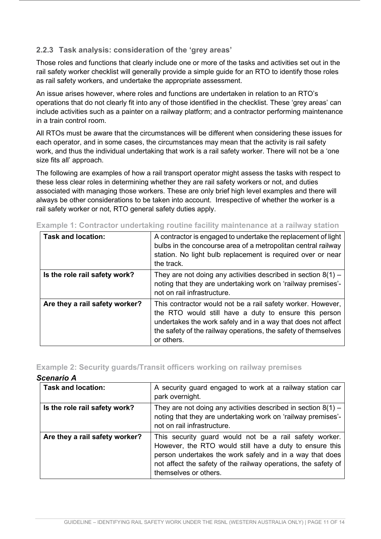#### <span id="page-10-0"></span>**2.2.3 Task analysis: consideration of the 'grey areas'**

Those roles and functions that clearly include one or more of the tasks and activities set out in the rail safety worker checklist will generally provide a simple guide for an RTO to identify those roles as rail safety workers, and undertake the appropriate assessment.

An issue arises however, where roles and functions are undertaken in relation to an RTO's operations that do not clearly fit into any of those identified in the checklist. These 'grey areas' can include activities such as a painter on a railway platform; and a contractor performing maintenance in a train control room.

All RTOs must be aware that the circumstances will be different when considering these issues for each operator, and in some cases, the circumstances may mean that the activity is rail safety work, and thus the individual undertaking that work is a rail safety worker. There will not be a 'one size fits all' approach.

The following are examples of how a rail transport operator might assess the tasks with respect to these less clear roles in determining whether they are rail safety workers or not, and duties associated with managing those workers. These are only brief high level examples and there will always be other considerations to be taken into account. Irrespective of whether the worker is a rail safety worker or not, RTO general safety duties apply.

| <b>Task and location:</b>      | A contractor is engaged to undertake the replacement of light<br>bulbs in the concourse area of a metropolitan central railway<br>station. No light bulb replacement is required over or near<br>the track.                                                          |
|--------------------------------|----------------------------------------------------------------------------------------------------------------------------------------------------------------------------------------------------------------------------------------------------------------------|
| Is the role rail safety work?  | They are not doing any activities described in section $8(1)$ –<br>noting that they are undertaking work on 'railway premises'-<br>not on rail infrastructure.                                                                                                       |
| Are they a rail safety worker? | This contractor would not be a rail safety worker. However,<br>the RTO would still have a duty to ensure this person<br>undertakes the work safely and in a way that does not affect<br>the safety of the railway operations, the safety of themselves<br>or others. |

**Example 1: Contractor undertaking routine facility maintenance at a railway station**

#### **Example 2: Security guards/Transit officers working on railway premises**

#### *Scenario A*

| <b>Task and location:</b>      | A security guard engaged to work at a railway station car<br>park overnight.                                                                                                                                                                                             |
|--------------------------------|--------------------------------------------------------------------------------------------------------------------------------------------------------------------------------------------------------------------------------------------------------------------------|
| Is the role rail safety work?  | They are not doing any activities described in section $8(1)$ –<br>noting that they are undertaking work on 'railway premises'-<br>not on rail infrastructure.                                                                                                           |
| Are they a rail safety worker? | This security guard would not be a rail safety worker.<br>However, the RTO would still have a duty to ensure this<br>person undertakes the work safely and in a way that does<br>not affect the safety of the railway operations, the safety of<br>themselves or others. |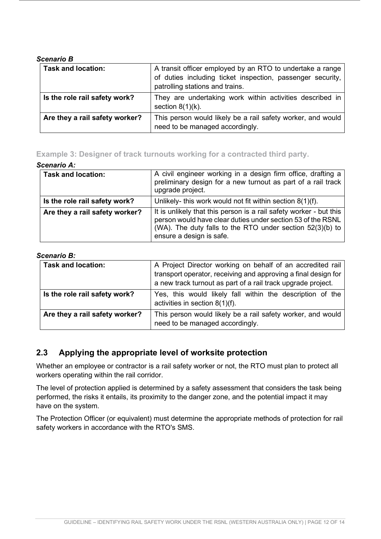#### *Scenario B*

| <b>Task and location:</b>                                                                                                        | A transit officer employed by an RTO to undertake a range<br>of duties including ticket inspection, passenger security,<br>patrolling stations and trains. |
|----------------------------------------------------------------------------------------------------------------------------------|------------------------------------------------------------------------------------------------------------------------------------------------------------|
| Is the role rail safety work?                                                                                                    | They are undertaking work within activities described in<br>section $8(1)(k)$ .                                                                            |
| Are they a rail safety worker?<br>This person would likely be a rail safety worker, and would<br>need to be managed accordingly. |                                                                                                                                                            |

## **Example 3: Designer of track turnouts working for a contracted third party.**

#### *Scenario A:*

| <b>Task and location:</b>      | A civil engineer working in a design firm office, drafting a<br>preliminary design for a new turnout as part of a rail track<br>upgrade project.                                                                           |
|--------------------------------|----------------------------------------------------------------------------------------------------------------------------------------------------------------------------------------------------------------------------|
| Is the role rail safety work?  | Unlikely- this work would not fit within section $8(1)(f)$ .                                                                                                                                                               |
| Are they a rail safety worker? | It is unlikely that this person is a rail safety worker - but this<br>person would have clear duties under section 53 of the RSNL<br>(WA). The duty falls to the RTO under section 52(3)(b) to<br>ensure a design is safe. |

#### *Scenario B:*

| <b>Task and location:</b>      | A Project Director working on behalf of an accredited rail<br>transport operator, receiving and approving a final design for<br>a new track turnout as part of a rail track upgrade project. |  |
|--------------------------------|----------------------------------------------------------------------------------------------------------------------------------------------------------------------------------------------|--|
| Is the role rail safety work?  | Yes, this would likely fall within the description of the<br>activities in section $8(1)(f)$ .                                                                                               |  |
| Are they a rail safety worker? | This person would likely be a rail safety worker, and would<br>need to be managed accordingly.                                                                                               |  |

# <span id="page-11-0"></span>**2.3 Applying the appropriate level of worksite protection**

Whether an employee or contractor is a rail safety worker or not, the RTO must plan to protect all workers operating within the rail corridor.

The level of protection applied is determined by a safety assessment that considers the task being performed, the risks it entails, its proximity to the danger zone, and the potential impact it may have on the system.

The Protection Officer (or equivalent) must determine the appropriate methods of protection for rail safety workers in accordance with the RTO's SMS.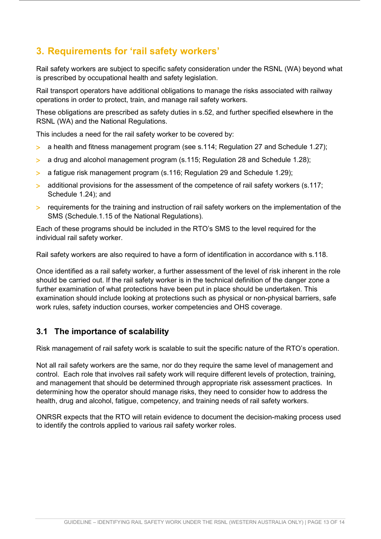# <span id="page-12-0"></span>**3. Requirements for 'rail safety workers'**

Rail safety workers are subject to specific safety consideration under the RSNL (WA) beyond what is prescribed by occupational health and safety legislation.

Rail transport operators have additional obligations to manage the risks associated with railway operations in order to protect, train, and manage rail safety workers.

These obligations are prescribed as safety duties in s.52, and further specified elsewhere in the RSNL (WA) and the National Regulations.

This includes a need for the rail safety worker to be covered by:

- > a health and fitness management program (see s.114; Regulation 27 and Schedule 1.27);
- > a drug and alcohol management program (s.115; Regulation 28 and Schedule 1.28);
- > a fatigue risk management program (s.116; Regulation 29 and Schedule 1.29);
- > additional provisions for the assessment of the competence of rail safety workers (s.117; Schedule 1.24); and
- > requirements for the training and instruction of rail safety workers on the implementation of the SMS (Schedule.1.15 of the National Regulations).

Each of these programs should be included in the RTO's SMS to the level required for the individual rail safety worker.

Rail safety workers are also required to have a form of identification in accordance with s.118.

Once identified as a rail safety worker, a further assessment of the level of risk inherent in the role should be carried out. If the rail safety worker is in the technical definition of the danger zone a further examination of what protections have been put in place should be undertaken. This examination should include looking at protections such as physical or non-physical barriers, safe work rules, safety induction courses, worker competencies and OHS coverage.

# <span id="page-12-1"></span>**3.1 The importance of scalability**

Risk management of rail safety work is scalable to suit the specific nature of the RTO's operation.

Not all rail safety workers are the same, nor do they require the same level of management and control. Each role that involves rail safety work will require different levels of protection, training, and management that should be determined through appropriate risk assessment practices. In determining how the operator should manage risks, they need to consider how to address the health, drug and alcohol, fatigue, competency, and training needs of rail safety workers.

ONRSR expects that the RTO will retain evidence to document the decision-making process used to identify the controls applied to various rail safety worker roles.